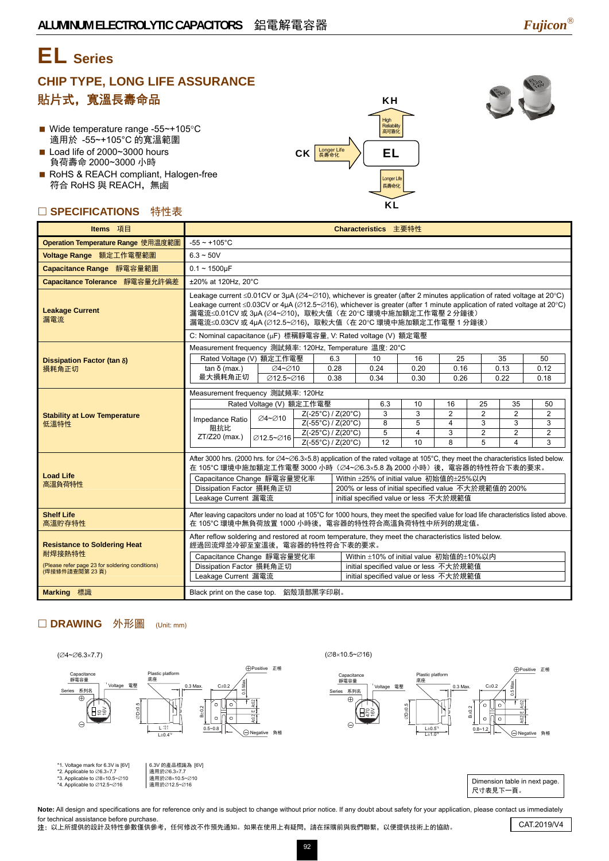# EL **Series**

### **CHIP TYPE, LONG LIFE ASSURANCE**  貼片式,寬溫長壽命品

- Wide temperature range -55~+105°C 適用於 -55~+105°C 的寬溫範圍
- Load life of 2000~3000 hours 負荷壽命 2000~3000 小時
- RoHS & REACH compliant, Halogen-free 符合 RoHS 與 REACH, 無鹵

### □ SPECIFICATIONS 特性表





| Items 項目                                                                                         | Characteristics 主要特性                                                                                                                                                                                                                                                                                                                                                                                                                                                            |               |                                          |      |                                                                                  |        |                                           |                     |                     |                     |  |
|--------------------------------------------------------------------------------------------------|---------------------------------------------------------------------------------------------------------------------------------------------------------------------------------------------------------------------------------------------------------------------------------------------------------------------------------------------------------------------------------------------------------------------------------------------------------------------------------|---------------|------------------------------------------|------|----------------------------------------------------------------------------------|--------|-------------------------------------------|---------------------|---------------------|---------------------|--|
| Operation Temperature Range 使用温度範圍                                                               | $-55 - +105$ °C                                                                                                                                                                                                                                                                                                                                                                                                                                                                 |               |                                          |      |                                                                                  |        |                                           |                     |                     |                     |  |
| Voltage Range 額定工作電壓範圍                                                                           | $6.3 - 50V$                                                                                                                                                                                                                                                                                                                                                                                                                                                                     |               |                                          |      |                                                                                  |        |                                           |                     |                     |                     |  |
| Capacitance Range 靜電容量範圍                                                                         | $0.1 - 1500$ uF                                                                                                                                                                                                                                                                                                                                                                                                                                                                 |               |                                          |      |                                                                                  |        |                                           |                     |                     |                     |  |
| Capacitance Tolerance 靜電容量允許偏差                                                                   | ±20% at 120Hz. 20°C                                                                                                                                                                                                                                                                                                                                                                                                                                                             |               |                                          |      |                                                                                  |        |                                           |                     |                     |                     |  |
| <b>Leakage Current</b><br>漏電流                                                                    | Leakage current ≤0.01CV or 3µA (Ø4~Ø10), whichever is greater (after 2 minutes application of rated voltage at 20°C)<br>Leakage current $\leq 0.03$ CV or 4µA ( $\varnothing$ 12.5~ $\varnothing$ 16), whichever is greater (after 1 minute application of rated voltage at 20°C)<br>漏電流≤0.01CV 或 3µA (∅4~∅10),取較大值 (在 20°C 環境中施加額定工作電壓 2 分鐘後)<br>漏電流≤0.03CV 或 4µA (∅12.5~∅16),取較大值 (在 20°C 環境中施加額定工作電壓 1 分鐘後)<br>C: Nominal capacitance (µF) 標稱靜電容量, V: Rated voltage (V) 額定電壓 |               |                                          |      |                                                                                  |        |                                           |                     |                     |                     |  |
|                                                                                                  | Measurement frequency 測試頻率: 120Hz, Temperature 温度: 20°C                                                                                                                                                                                                                                                                                                                                                                                                                         |               |                                          |      |                                                                                  |        |                                           |                     |                     |                     |  |
| Dissipation Factor (tan δ)                                                                       | Rated Voltage (V) 額定工作電壓                                                                                                                                                                                                                                                                                                                                                                                                                                                        |               |                                          | 6.3  | 10                                                                               | 16     | 25                                        |                     | 35                  | 50                  |  |
| 損耗角正切                                                                                            | $tan δ$ (max.)<br>最大損耗角正切                                                                                                                                                                                                                                                                                                                                                                                                                                                       | ∅4~∅10        |                                          | 0.28 | 0.24                                                                             | 0.20   | 0.16                                      |                     | 0.13                | 0.12                |  |
|                                                                                                  |                                                                                                                                                                                                                                                                                                                                                                                                                                                                                 | Ø12.5~Ø16     |                                          | 0.38 | 0.34                                                                             | 0.30   | 0.26                                      |                     | 0.22                | 0.18                |  |
|                                                                                                  | Measurement frequency 測試頻率: 120Hz                                                                                                                                                                                                                                                                                                                                                                                                                                               |               |                                          |      |                                                                                  |        |                                           |                     |                     |                     |  |
|                                                                                                  | Rated Voltage (V) 額定工作電壓                                                                                                                                                                                                                                                                                                                                                                                                                                                        |               |                                          |      | 6.3                                                                              | 10     | 16                                        | 25                  | 35                  | 50                  |  |
| <b>Stability at Low Temperature</b>                                                              | Impedance Ratio<br>阻抗比<br>$ZT/Z20$ (max.)                                                                                                                                                                                                                                                                                                                                                                                                                                       | <b>⊘4~⊘10</b> | Z(-25°C) / Z(20°C)<br>Z(-55°C) / Z(20°C) |      | 3<br>8                                                                           | 3<br>5 | $\overline{2}$<br>$\overline{\mathbf{4}}$ | $\overline{2}$<br>3 | $\overline{2}$<br>3 | $\overline{2}$<br>3 |  |
| 低溫特性                                                                                             |                                                                                                                                                                                                                                                                                                                                                                                                                                                                                 |               | $Z(-25^{\circ}C)/Z(20^{\circ}C)$         |      | 5                                                                                | 4      | 3                                         | $\overline{2}$      | $\overline{2}$      | $\overline{c}$      |  |
|                                                                                                  |                                                                                                                                                                                                                                                                                                                                                                                                                                                                                 | ∅12.5~Ø16     | Z(-55°C) / Z(20°C)                       |      | 12                                                                               | 10     | $\mathsf{a}$                              | 5                   | 4                   | 3                   |  |
| <b>Load Life</b><br>高溫負荷特性                                                                       | After 3000 hrs. (2000 hrs. for $\varnothing$ 4~ $\varnothing$ 6.3×5.8) application of the rated voltage at 105°C, they meet the characteristics listed below.<br>在 105°C 環境中施加額定工作電壓 3000 小時 (Ø4~Ø6.3×5.8 為 2000 小時) 後, 電容器的特性符合下表的要求。<br>Capacitance Change 靜電容量變化率<br>Within ±25% of initial value 初始值的±25%以內<br>Dissipation Factor 損耗角正切<br>200% or less of initial specified value 不大於規範值的 200%<br>Leakage Current 漏電流<br>initial specified value or less 不大於規範值            |               |                                          |      |                                                                                  |        |                                           |                     |                     |                     |  |
| <b>Shelf Life</b><br>高溫貯存特性                                                                      | After leaving capacitors under no load at 105°C for 1000 hours, they meet the specified value for load life characteristics listed above.<br>在 105°C 環境中無負荷放置 1000 小時後,電容器的特性符合高溫負荷特性中所列的規定值。                                                                                                                                                                                                                                                                                   |               |                                          |      |                                                                                  |        |                                           |                     |                     |                     |  |
| <b>Resistance to Soldering Heat</b><br>耐焊接熱特性<br>(Please refer page 23 for soldering conditions) | After reflow soldering and restored at room temperature, they meet the characteristics listed below.<br>經過回流焊並冷卻至室溫後,電容器的特性符合下表的要求。<br>Within ±10% of initial value 初始值的±10%以内<br>Capacitance Change 靜電容量變化率                                                                                                                                                                                                                                                                    |               |                                          |      |                                                                                  |        |                                           |                     |                     |                     |  |
| (焊接條件請查閱第23頁)                                                                                    | Dissipation Factor 損耗角正切<br>Leakage Current 漏電流                                                                                                                                                                                                                                                                                                                                                                                                                                 |               |                                          |      | initial specified value or less 不大於規範值<br>initial specified value or less 不大於規範值 |        |                                           |                     |                     |                     |  |
|                                                                                                  |                                                                                                                                                                                                                                                                                                                                                                                                                                                                                 |               |                                          |      |                                                                                  |        |                                           |                     |                     |                     |  |
| <b>Marking 標識</b>                                                                                | Black print on the case top. 鋁殼頂部黑字印刷。                                                                                                                                                                                                                                                                                                                                                                                                                                          |               |                                          |      |                                                                                  |        |                                           |                     |                     |                     |  |

### □ DRAWING 外形圖 (Unit: mm)



Note: All design and specifications are for reference only and is subject to change without prior notice. If any doubt about safety for your application, please contact us immediately for technical assistance before purchase.

nor technical assistance before purchase.<br>注:以上所提供的設計及特性參數僅供參考,任何修改不作預先通知。如果在使用上有疑問,請在採購前與我們聯繫,以便提供技術上的協助。 CAT.2019/V4